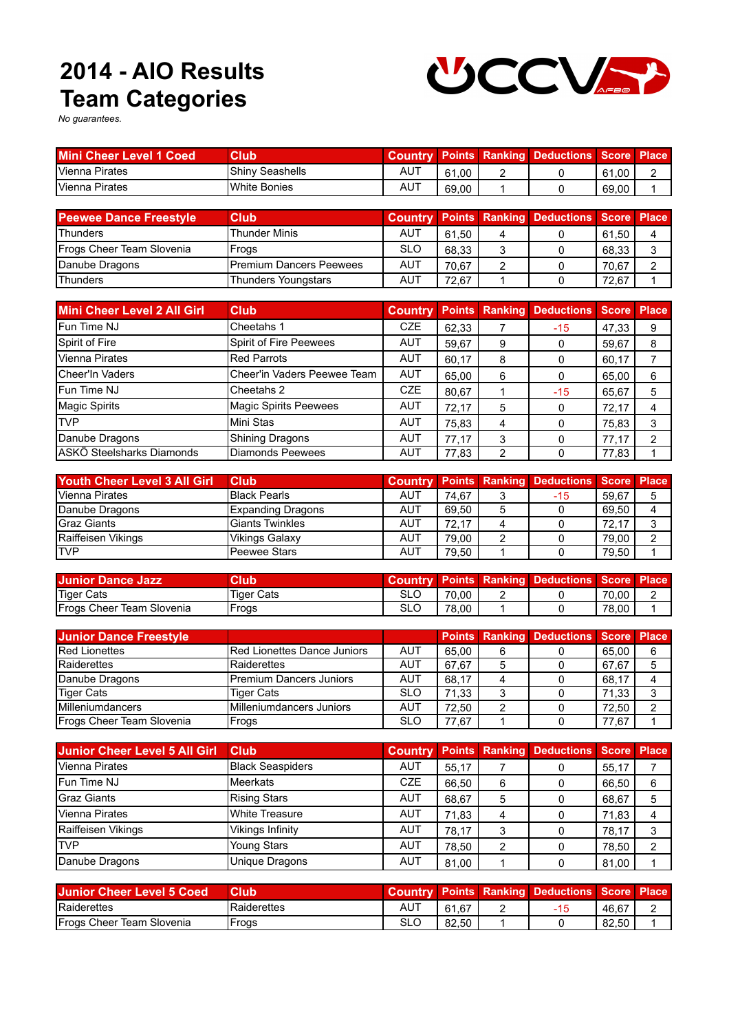## **Team Categories 2014 - AIO Results**



*No guarantees.*

| <b>Mini Cheer Level 1 Coed</b> | <b>Club</b>         |     |       |   | <b>Country Points Ranking Deductions Score Place</b> |       |  |
|--------------------------------|---------------------|-----|-------|---|------------------------------------------------------|-------|--|
| Vienna Pirates                 | Shiny Seashells     | AUT | 61.00 | - |                                                      | 61.00 |  |
| Vienna Pirates                 | <b>White Bonies</b> | AUT | 69.00 |   |                                                      | 69.00 |  |

| <b>Peewee Dance Freestyle</b> | Club                           |            |       | <b>Country Points Ranking Deductions Score Place</b> |       |  |
|-------------------------------|--------------------------------|------------|-------|------------------------------------------------------|-------|--|
| <b>Thunders</b>               | <b>Thunder Minis</b>           | AUT        | 61.50 |                                                      | 61.50 |  |
| Frogs Cheer Team Slovenia     | Frogs                          | <b>SLO</b> | 68.33 |                                                      | 68.33 |  |
| Danube Dragons                | <b>Premium Dancers Peewees</b> | <b>AUT</b> | 70.67 |                                                      | 70.67 |  |
| <b>Thunders</b>               | <b>Thunders Youngstars</b>     | AUT        | 72.67 |                                                      | 72,67 |  |

| <b>Mini Cheer Level 2 All Girl</b> | <b>Club</b>                  | <b>Country</b> |       |   | <b>Points Ranking Deductions</b> | <b>Score</b> | <b>Place</b> |
|------------------------------------|------------------------------|----------------|-------|---|----------------------------------|--------------|--------------|
| Fun Time NJ                        | Cheetahs 1                   | <b>CZE</b>     | 62,33 |   | $-15$                            | 47,33        | 9            |
| Spirit of Fire                     | Spirit of Fire Peewees       | AUT            | 59,67 | 9 |                                  | 59,67        | 8            |
| <b>Vienna Pirates</b>              | <b>Red Parrots</b>           | <b>AUT</b>     | 60.17 | 8 |                                  | 60,17        |              |
| Cheer'In Vaders                    | Cheer'in Vaders Peewee Team  | <b>AUT</b>     | 65,00 | 6 |                                  | 65,00        | 6            |
| Fun Time NJ                        | Cheetahs 2                   | <b>CZE</b>     | 80,67 |   | $-15$                            | 65,67        | 5            |
| <b>Magic Spirits</b>               | <b>Magic Spirits Peewees</b> | <b>AUT</b>     | 72.17 | 5 |                                  | 72.17        | 4            |
| <b>TVP</b>                         | Mini Stas                    | AUT            | 75,83 | 4 |                                  | 75,83        | 3            |
| Danube Dragons                     | <b>Shining Dragons</b>       | <b>AUT</b>     | 77.17 | 3 |                                  | 77.17        | າ            |
| ASKÖ Steelsharks Diamonds          | <b>Diamonds Peewees</b>      | AUT            | 77.83 | 2 |                                  | 77,83        |              |

| Youth Cheer Level 3 All Girl | <b>Club</b>              |            |       |   | <b>Country Points Ranking Deductions Score Place</b> |       |   |
|------------------------------|--------------------------|------------|-------|---|------------------------------------------------------|-------|---|
| Vienna Pirates               | <b>Black Pearls</b>      | AUT        | 74.67 |   | -15                                                  | 59.67 |   |
| Danube Dragons               | <b>Expanding Dragons</b> | AUT        | 69.50 | 5 |                                                      | 69.50 |   |
| <b>Graz Giants</b>           | <b>Giants Twinkles</b>   | <b>AUT</b> | 72.17 |   |                                                      | 72.17 | ົ |
| Raiffeisen Vikings           | <b>Vikings Galaxy</b>    | <b>AUT</b> | 79.00 | 2 |                                                      | 79.00 | ົ |
| <b>TVP</b>                   | Peewee Stars             | <b>AUT</b> | 79.50 |   |                                                      | 79.50 |   |

| <b>Junior Dance Jazz</b>  | Club              | Country |       | <b>Points Ranking Deductions Score Place</b> |       |  |
|---------------------------|-------------------|---------|-------|----------------------------------------------|-------|--|
| <b>Tiger Cats</b>         | <b>Tiger Cats</b> | SLC     | 70.00 |                                              | 70.00 |  |
| Frogs Cheer Team Slovenia | Frogs             | SLC     | 78.00 |                                              | 78.00 |  |

| <b>Junior Dance Freestyle</b> |                                |            |       |   | <b>Points Ranking Deductions Score Place</b> |       |   |
|-------------------------------|--------------------------------|------------|-------|---|----------------------------------------------|-------|---|
| <b>Red Lionettes</b>          | Red Lionettes Dance Juniors    | AUT        | 65.00 | 6 |                                              | 65.00 | 6 |
| Raiderettes                   | Raiderettes                    | AUT        | 67.67 | 5 |                                              | 67.67 |   |
| Danube Dragons                | <b>Premium Dancers Juniors</b> | AUT        | 68.17 |   |                                              | 68.17 |   |
| <b>Tiger Cats</b>             | <b>Tiger Cats</b>              | <b>SLO</b> | 71.33 | 3 |                                              | 71.33 |   |
| <b>Milleniumdancers</b>       | Milleniumdancers Juniors       | AUT        | 72.50 |   |                                              | 72.50 |   |
| Frogs Cheer Team Slovenia     | Frogs                          | <b>SLO</b> | 77.67 |   |                                              | 77.67 |   |

| <b>Junior Cheer Level 5 All Girl</b> | Club                    | <b>Country</b> |       |   | <b>Points Ranking Deductions Score Place</b> |       |   |
|--------------------------------------|-------------------------|----------------|-------|---|----------------------------------------------|-------|---|
| <b>Vienna Pirates</b>                | <b>Black Seaspiders</b> | <b>AUT</b>     | 55.17 |   |                                              | 55.17 |   |
| Fun Time NJ                          | <b>Meerkats</b>         | <b>CZE</b>     | 66.50 | 6 |                                              | 66,50 | 6 |
| <b>Graz Giants</b>                   | <b>Rising Stars</b>     | AUT            | 68.67 | 5 |                                              | 68.67 | 5 |
| <b>Vienna Pirates</b>                | <b>White Treasure</b>   | <b>AUT</b>     | 71.83 | 4 |                                              | 71.83 |   |
| Raiffeisen Vikings                   | Vikings Infinity        | <b>AUT</b>     | 78.17 | 3 |                                              | 78,17 |   |
| <b>ITVP</b>                          | <b>Young Stars</b>      | <b>AUT</b>     | 78.50 | 2 |                                              | 78,50 |   |
| Danube Dragons                       | <b>Unique Dragons</b>   | <b>AUT</b>     | 81.00 |   |                                              | 81,00 |   |

| <b>Junior Cheer Level 5 Coed</b> | Club        |     |       | <b>Country Points Ranking Deductions Score Place</b> |       |  |
|----------------------------------|-------------|-----|-------|------------------------------------------------------|-------|--|
| Raiderettes                      | Raiderettes | AUT | 61.67 |                                                      | 46.67 |  |
| Frogs Cheer Team Slovenia        | Frogs       | SLC | 82.50 |                                                      | 82.50 |  |